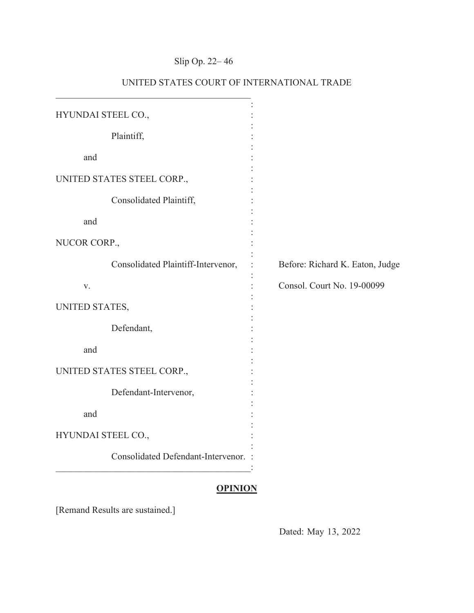# Slip Op. 22– 46

| HYUNDAI STEEL CO.,         |                                             |                                 |
|----------------------------|---------------------------------------------|---------------------------------|
|                            | Plaintiff,                                  |                                 |
| and                        |                                             |                                 |
| UNITED STATES STEEL CORP., |                                             |                                 |
|                            | Consolidated Plaintiff,                     |                                 |
| and                        |                                             |                                 |
| NUCOR CORP.,               |                                             |                                 |
|                            | Consolidated Plaintiff-Intervenor,          | Before: Richard K. Eaton, Judge |
| V.                         |                                             | Consol. Court No. 19-00099      |
| UNITED STATES,             |                                             |                                 |
|                            | Defendant,                                  |                                 |
| and                        |                                             |                                 |
| UNITED STATES STEEL CORP., |                                             |                                 |
|                            | Defendant-Intervenor,                       |                                 |
| and                        |                                             |                                 |
| HYUNDAI STEEL CO.,         |                                             |                                 |
|                            | <b>Consolidated Defendant-Intervenor. :</b> |                                 |
|                            |                                             |                                 |

## UNITED STATES COURT OF INTERNATIONAL TRADE

### **OPINION**

[Remand Results are sustained.]

Dated: May 13, 2022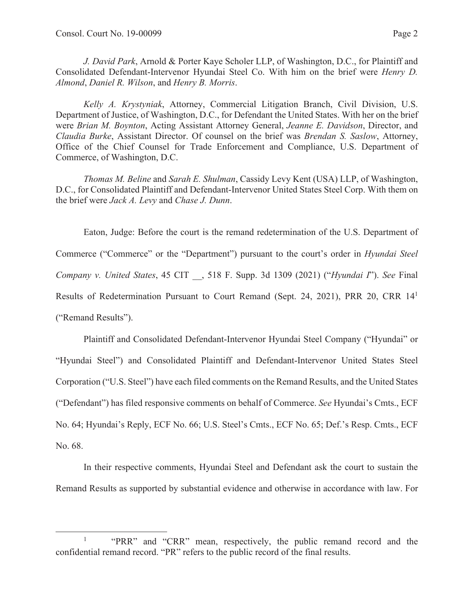*J. David Park*, Arnold & Porter Kaye Scholer LLP, of Washington, D.C., for Plaintiff and Consolidated Defendant-Intervenor Hyundai Steel Co. With him on the brief were *Henry D. Almond*, *Daniel R. Wilson*, and *Henry B. Morris*.

*Kelly A. Krystyniak*, Attorney, Commercial Litigation Branch, Civil Division, U.S. Department of Justice, of Washington, D.C., for Defendant the United States. With her on the brief were *Brian M. Boynton*, Acting Assistant Attorney General, *Jeanne E. Davidson*, Director, and *Claudia Burke*, Assistant Director. Of counsel on the brief was *Brendan S. Saslow*, Attorney, Office of the Chief Counsel for Trade Enforcement and Compliance, U.S. Department of Commerce, of Washington, D.C.

*Thomas M. Beline* and *Sarah E. Shulman*, Cassidy Levy Kent (USA) LLP, of Washington, D.C., for Consolidated Plaintiff and Defendant-Intervenor United States Steel Corp. With them on the brief were *Jack A. Levy* and *Chase J. Dunn*.

Eaton, Judge: Before the court is the remand redetermination of the U.S. Department of Commerce ("Commerce" or the "Department") pursuant to the court's order in *Hyundai Steel Company v. United States*, 45 CIT \_\_, 518 F. Supp. 3d 1309 (2021) ("*Hyundai I*"). *See* Final Results of Redetermination Pursuant to Court Remand (Sept. 24, 2021), PRR 20, CRR 141 ("Remand Results").

Plaintiff and Consolidated Defendant-Intervenor Hyundai Steel Company ("Hyundai" or "Hyundai Steel") and Consolidated Plaintiff and Defendant-Intervenor United States Steel Corporation ("U.S. Steel") have each filed comments on the Remand Results, and the United States ("Defendant") has filed responsive comments on behalf of Commerce. *See* Hyundai's Cmts., ECF No. 64; Hyundai's Reply, ECF No. 66; U.S. Steel's Cmts., ECF No. 65; Def.'s Resp. Cmts., ECF No. 68.

In their respective comments, Hyundai Steel and Defendant ask the court to sustain the Remand Results as supported by substantial evidence and otherwise in accordance with law. For

<sup>1</sup> "PRR" and "CRR" mean, respectively, the public remand record and the confidential remand record. "PR" refers to the public record of the final results.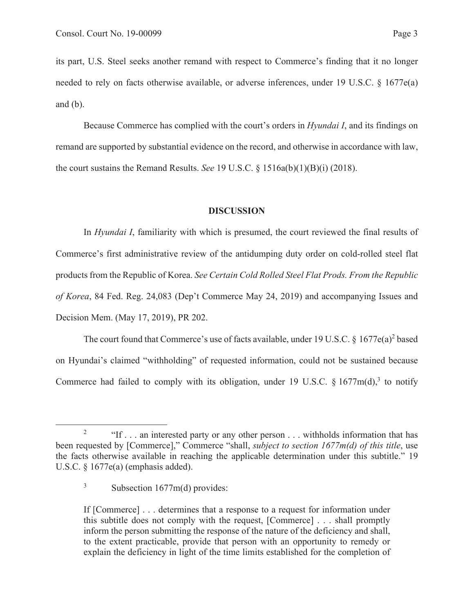its part, U.S. Steel seeks another remand with respect to Commerce's finding that it no longer needed to rely on facts otherwise available, or adverse inferences, under 19 U.S.C. § 1677e(a) and  $(b)$ .

Because Commerce has complied with the court's orders in *Hyundai I*, and its findings on remand are supported by substantial evidence on the record, and otherwise in accordance with law, the court sustains the Remand Results. *See* 19 U.S.C. § 1516a(b)(1)(B)(i) (2018).

#### **DISCUSSION**

In *Hyundai I*, familiarity with which is presumed, the court reviewed the final results of Commerce's first administrative review of the antidumping duty order on cold-rolled steel flat products from the Republic of Korea. *See Certain Cold Rolled Steel Flat Prods. From the Republic of Korea*, 84 Fed. Reg. 24,083 (Dep't Commerce May 24, 2019) and accompanying Issues and Decision Mem. (May 17, 2019), PR 202.

The court found that Commerce's use of facts available, under 19 U.S.C. § 1677 $e(a)^2$  based on Hyundai's claimed "withholding" of requested information, could not be sustained because Commerce had failed to comply with its obligation, under 19 U.S.C. § 1677m(d),<sup>3</sup> to notify

If [Commerce] . . . determines that a response to a request for information under this subtitle does not comply with the request, [Commerce] . . . shall promptly inform the person submitting the response of the nature of the deficiency and shall, to the extent practicable, provide that person with an opportunity to remedy or explain the deficiency in light of the time limits established for the completion of

<sup>2</sup> "If . . . an interested party or any other person . . . withholds information that has been requested by [Commerce]," Commerce "shall, *subject to section 1677m(d) of this title*, use the facts otherwise available in reaching the applicable determination under this subtitle." 19 U.S.C. § 1677e(a) (emphasis added).

<sup>3</sup> Subsection 1677m(d) provides: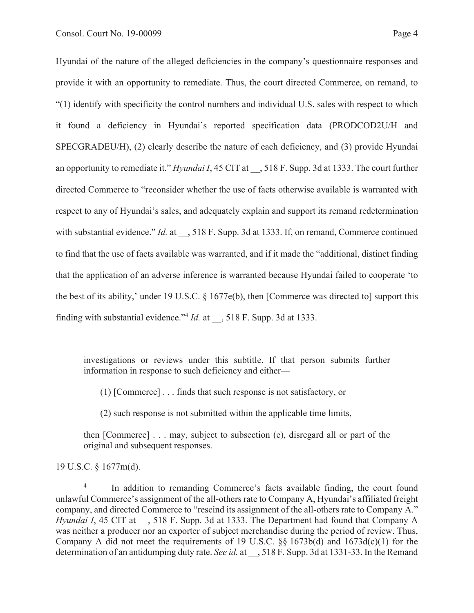Hyundai of the nature of the alleged deficiencies in the company's questionnaire responses and provide it with an opportunity to remediate. Thus, the court directed Commerce, on remand, to "(1) identify with specificity the control numbers and individual U.S. sales with respect to which it found a deficiency in Hyundai's reported specification data (PRODCOD2U/H and SPECGRADEU/H), (2) clearly describe the nature of each deficiency, and (3) provide Hyundai an opportunity to remediate it." *Hyundai I*, 45 CIT at  $\,$ , 518 F. Supp. 3d at 1333. The court further directed Commerce to "reconsider whether the use of facts otherwise available is warranted with respect to any of Hyundai's sales, and adequately explain and support its remand redetermination with substantial evidence." *Id.* at  $\phantom{0}$ , 518 F. Supp. 3d at 1333. If, on remand, Commerce continued to find that the use of facts available was warranted, and if it made the "additional, distinct finding that the application of an adverse inference is warranted because Hyundai failed to cooperate 'to the best of its ability,' under 19 U.S.C. § 1677e(b), then [Commerce was directed to] support this finding with substantial evidence."4 *Id.* at \_\_, 518 F. Supp. 3d at 1333.

- (1) [Commerce] . . . finds that such response is not satisfactory, or
- (2) such response is not submitted within the applicable time limits,

then [Commerce] . . . may, subject to subsection (e), disregard all or part of the original and subsequent responses.

19 U.S.C. § 1677m(d).

investigations or reviews under this subtitle. If that person submits further information in response to such deficiency and either—

<sup>4</sup> In addition to remanding Commerce's facts available finding, the court found unlawful Commerce's assignment of the all-others rate to Company A, Hyundai's affiliated freight company, and directed Commerce to "rescind its assignment of the all-others rate to Company A." *Hyundai I*, 45 CIT at  $\phantom{0}$ , 518 F. Supp. 3d at 1333. The Department had found that Company A was neither a producer nor an exporter of subject merchandise during the period of review. Thus, Company A did not meet the requirements of 19 U.S.C. §§ 1673b(d) and 1673d(c)(1) for the determination of an antidumping duty rate. *See id.* at \_\_, 518 F. Supp. 3d at 1331-33. In the Remand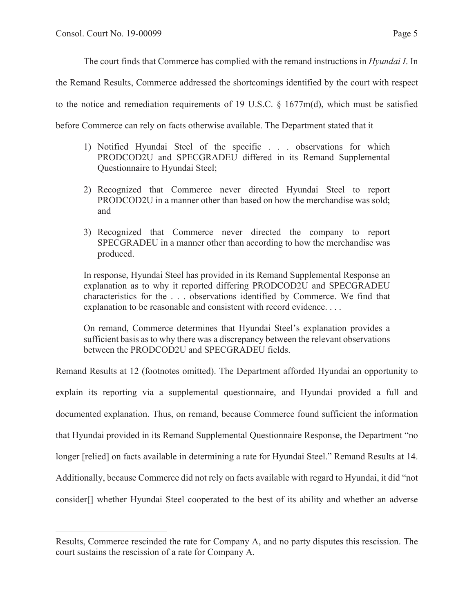The court finds that Commerce has complied with the remand instructions in *Hyundai I*. In

the Remand Results, Commerce addressed the shortcomings identified by the court with respect

to the notice and remediation requirements of 19 U.S.C.  $\S$  1677m(d), which must be satisfied

before Commerce can rely on facts otherwise available. The Department stated that it

- 1) Notified Hyundai Steel of the specific . . . observations for which PRODCOD2U and SPECGRADEU differed in its Remand Supplemental Questionnaire to Hyundai Steel;
- 2) Recognized that Commerce never directed Hyundai Steel to report PRODCOD2U in a manner other than based on how the merchandise was sold; and
- 3) Recognized that Commerce never directed the company to report SPECGRADEU in a manner other than according to how the merchandise was produced.

In response, Hyundai Steel has provided in its Remand Supplemental Response an explanation as to why it reported differing PRODCOD2U and SPECGRADEU characteristics for the . . . observations identified by Commerce. We find that explanation to be reasonable and consistent with record evidence. . . .

On remand, Commerce determines that Hyundai Steel's explanation provides a sufficient basis as to why there was a discrepancy between the relevant observations between the PRODCOD2U and SPECGRADEU fields.

Remand Results at 12 (footnotes omitted). The Department afforded Hyundai an opportunity to explain its reporting via a supplemental questionnaire, and Hyundai provided a full and documented explanation. Thus, on remand, because Commerce found sufficient the information that Hyundai provided in its Remand Supplemental Questionnaire Response, the Department "no longer [relied] on facts available in determining a rate for Hyundai Steel." Remand Results at 14. Additionally, because Commerce did not rely on facts available with regard to Hyundai, it did "not consider[] whether Hyundai Steel cooperated to the best of its ability and whether an adverse

Results, Commerce rescinded the rate for Company A, and no party disputes this rescission. The court sustains the rescission of a rate for Company A.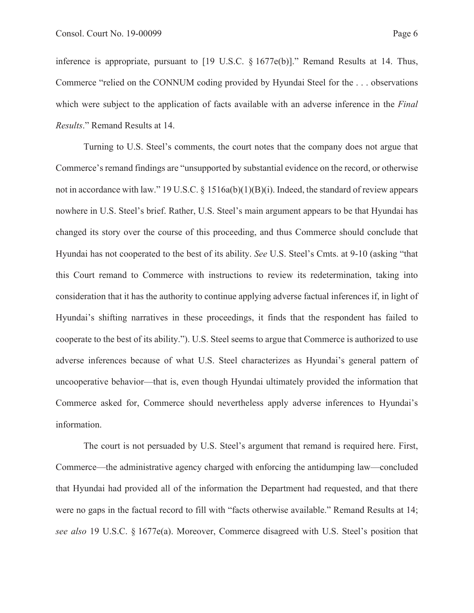inference is appropriate, pursuant to [19 U.S.C. § 1677e(b)]." Remand Results at 14. Thus, Commerce "relied on the CONNUM coding provided by Hyundai Steel for the . . . observations which were subject to the application of facts available with an adverse inference in the *Final Results*." Remand Results at 14.

 Turning to U.S. Steel's comments, the court notes that the company does not argue that Commerce's remand findings are "unsupported by substantial evidence on the record, or otherwise not in accordance with law." 19 U.S.C.  $\S$  1516a(b)(1)(B)(i). Indeed, the standard of review appears nowhere in U.S. Steel's brief. Rather, U.S. Steel's main argument appears to be that Hyundai has changed its story over the course of this proceeding, and thus Commerce should conclude that Hyundai has not cooperated to the best of its ability. *See* U.S. Steel's Cmts. at 9-10 (asking "that this Court remand to Commerce with instructions to review its redetermination, taking into consideration that it has the authority to continue applying adverse factual inferences if, in light of Hyundai's shifting narratives in these proceedings, it finds that the respondent has failed to cooperate to the best of its ability."). U.S. Steel seems to argue that Commerce is authorized to use adverse inferences because of what U.S. Steel characterizes as Hyundai's general pattern of uncooperative behavior—that is, even though Hyundai ultimately provided the information that Commerce asked for, Commerce should nevertheless apply adverse inferences to Hyundai's information.

The court is not persuaded by U.S. Steel's argument that remand is required here. First, Commerce—the administrative agency charged with enforcing the antidumping law—concluded that Hyundai had provided all of the information the Department had requested, and that there were no gaps in the factual record to fill with "facts otherwise available." Remand Results at 14; *see also* 19 U.S.C. § 1677e(a). Moreover, Commerce disagreed with U.S. Steel's position that